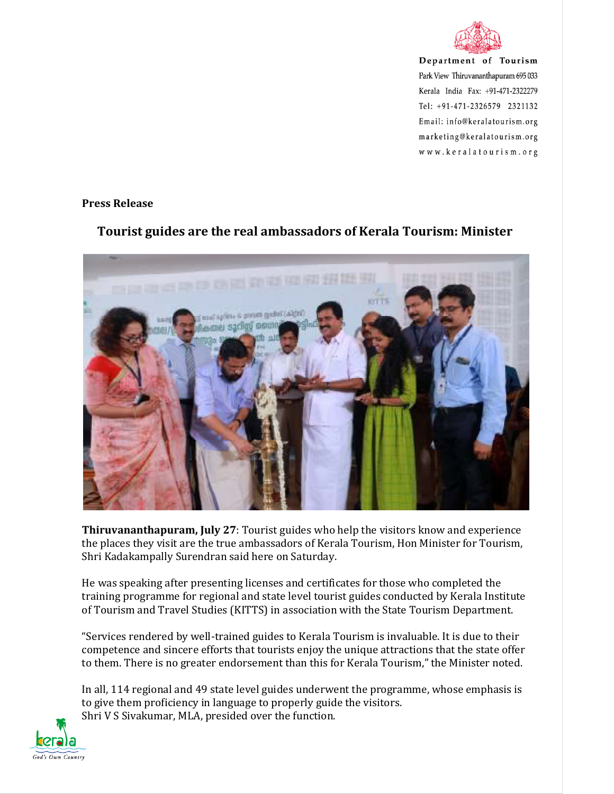

Department of Tourism Park View Thiruvananthapuram 695 033 Kerala India Fax: +91-471-2322279 Tel: +91-471-2326579 2321132 Email: info@keralatourism.org marketing@keralatourism.org www.keralatourism.org

## **Press Release**



## **Tourist guides are the real ambassadors of Kerala Tourism: Minister**

**Thiruvananthapuram, July 27**: Tourist guides who help the visitors know and experience the places they visit are the true ambassadors of Kerala Tourism, Hon Minister for Tourism, Shri Kadakampally Surendran said here on Saturday.

He was speaking after presenting licenses and certificates for those who completed the training programme for regional and state level tourist guides conducted by Kerala Institute of Tourism and Travel Studies (KITTS) in association with the State Tourism Department.

"Services rendered by well-trained guides to Kerala Tourism is invaluable. It is due to their competence and sincere efforts that tourists enjoy the unique attractions that the state offer to them. There is no greater endorsement than this for Kerala Tourism," the Minister noted.

In all, 114 regional and 49 state level guides underwent the programme, whose emphasis is to give them proficiency in language to properly guide the visitors. Shri V S Sivakumar, MLA, presided over the function.